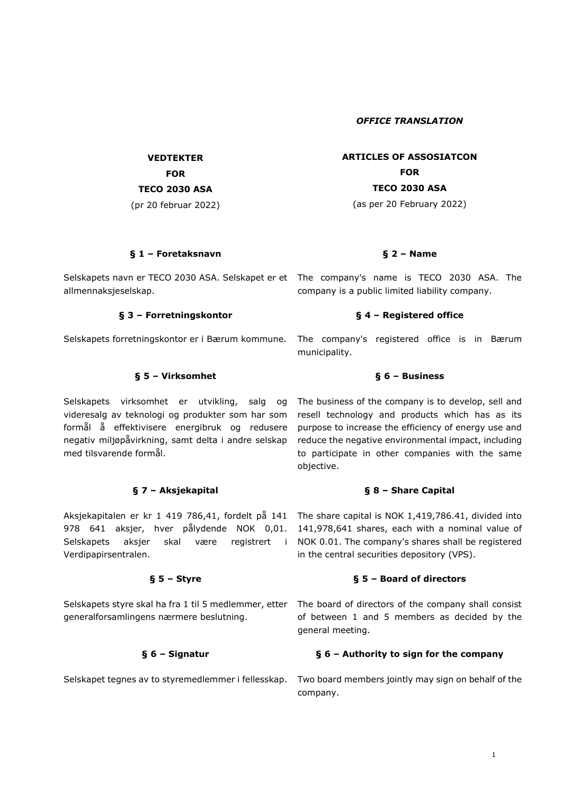*OFFICE TRANSLATION*

**ARTICLES OF ASSOSIATCON FOR TECO 2030 ASA**

(as per 20 February 2022)

# **§ 1 – Foretaksnavn § 2 – Name**

Selskapets navn er TECO 2030 ASA. Selskapet er et The company's name is TECO 2030 ASA. The allmennaksjeselskap.

**VEDTEKTER FOR TECO 2030 ASA** (pr 20 februar 2022)

## **§ 3 – Forretningskontor § 4 – Registered office**

### **§ 5 – Virksomhet § 6 – Business**

Selskapets virksomhet er utvikling, salg og videresalg av teknologi og produkter som har som formål å effektivisere energibruk og redusere negativ miljøpåvirkning, samt delta i andre selskap med tilsvarende formål.

# **§ 7 – Aksjekapital § 8 – Share Capital**

Aksjekapitalen er kr 1 419 786,41, fordelt på 141 978 641 aksjer, hver pålydende NOK 0,01. Selskapets aksjer skal være registrert i Verdipapirsentralen.

generalforsamlingens nærmere beslutning.

Selskapets forretningskontor er i Bærum kommune. The company's registered office is in Bærum municipality.

company is a public limited liability company.

The business of the company is to develop, sell and resell technology and products which has as its purpose to increase the efficiency of energy use and reduce the negative environmental impact, including to participate in other companies with the same objective.

The share capital is NOK 1,419,786.41, divided into 141,978,641 shares, each with a nominal value of NOK 0.01. The company's shares shall be registered in the central securities depository (VPS).

### **§ 5 – Styre § 5 – Board of directors**

Selskapets styre skal ha fra 1 til 5 medlemmer, etter The board of directors of the company shall consist of between 1 and 5 members as decided by the general meeting.

## **§ 6 – Signatur § 6 – Authority to sign for the company**

Selskapet tegnes av to styremedlemmer i fellesskap. Two board members jointly may sign on behalf of the company.

## 1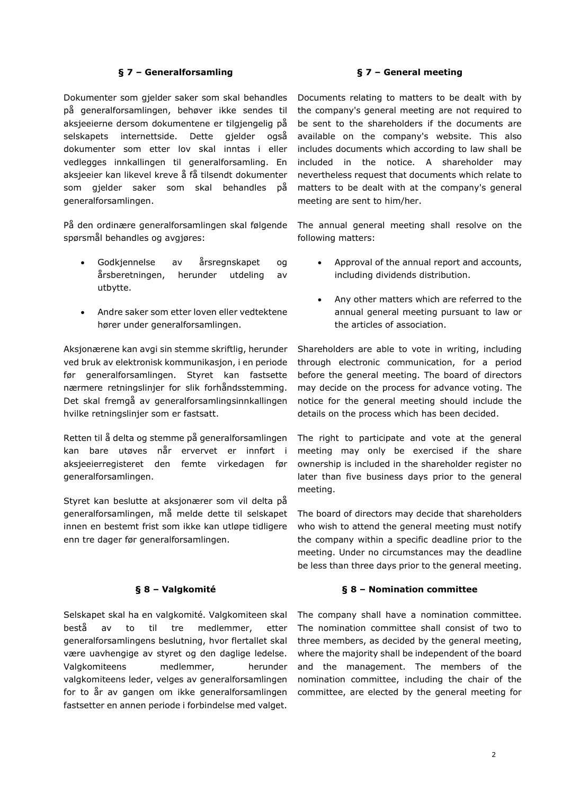## **§ 7 – Generalforsamling § 7 – General meeting**

Dokumenter som gjelder saker som skal behandles på generalforsamlingen, behøver ikke sendes til aksjeeierne dersom dokumentene er tilgjengelig på selskapets internettside. Dette gjelder også dokumenter som etter lov skal inntas i eller vedlegges innkallingen til generalforsamling. En aksjeeier kan likevel kreve å få tilsendt dokumenter som gjelder saker som skal behandles på generalforsamlingen.

På den ordinære generalforsamlingen skal følgende spørsmål behandles og avgjøres:

- Godkjennelse av årsregnskapet og årsberetningen, herunder utdeling av utbytte.
- Andre saker som etter loven eller vedtektene hører under generalforsamlingen.

Aksjonærene kan avgi sin stemme skriftlig, herunder ved bruk av elektronisk kommunikasjon, i en periode før generalforsamlingen. Styret kan fastsette nærmere retningslinjer for slik forhåndsstemming. Det skal fremgå av generalforsamlingsinnkallingen hvilke retningslinjer som er fastsatt.

Retten til å delta og stemme på generalforsamlingen kan bare utøves når ervervet er innført i aksjeeierregisteret den femte virkedagen før generalforsamlingen.

Styret kan beslutte at aksjonærer som vil delta på generalforsamlingen, må melde dette til selskapet innen en bestemt frist som ikke kan utløpe tidligere enn tre dager før generalforsamlingen.

Selskapet skal ha en valgkomité. Valgkomiteen skal bestå av to til tre medlemmer, etter generalforsamlingens beslutning, hvor flertallet skal være uavhengige av styret og den daglige ledelse. Valgkomiteens medlemmer, herunder valgkomiteens leder, velges av generalforsamlingen for to år av gangen om ikke generalforsamlingen fastsetter en annen periode i forbindelse med valget.

Documents relating to matters to be dealt with by the company's general meeting are not required to be sent to the shareholders if the documents are available on the company's website. This also includes documents which according to law shall be included in the notice. A shareholder may nevertheless request that documents which relate to matters to be dealt with at the company's general meeting are sent to him/her.

The annual general meeting shall resolve on the following matters:

- Approval of the annual report and accounts, including dividends distribution.
- Any other matters which are referred to the annual general meeting pursuant to law or the articles of association.

Shareholders are able to vote in writing, including through electronic communication, for a period before the general meeting. The board of directors may decide on the process for advance voting. The notice for the general meeting should include the details on the process which has been decided.

The right to participate and vote at the general meeting may only be exercised if the share ownership is included in the shareholder register no later than five business days prior to the general meeting.

The board of directors may decide that shareholders who wish to attend the general meeting must notify the company within a specific deadline prior to the meeting. Under no circumstances may the deadline be less than three days prior to the general meeting.

### **§ 8 – Valgkomité § 8 – Nomination committee**

The company shall have a nomination committee. The nomination committee shall consist of two to three members, as decided by the general meeting, where the majority shall be independent of the board and the management. The members of the nomination committee, including the chair of the committee, are elected by the general meeting for